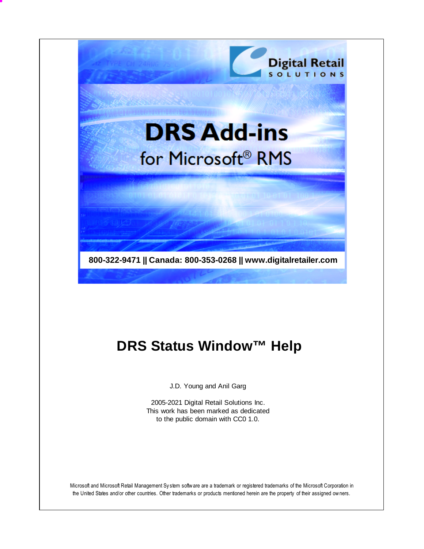

# **DRS Status Window™ Help**

J.D. Young and Anil Garg

2005-2021 Digital Retail Solutions Inc. This work has been marked as dedicated to the public domain with CC0 1.0.

Microsoft and Microsoft Retail Management Sy stem software are a trademark or registered trademarks of the Microsoft Corporation in the United States and/or other countries. Other trademarks or products mentioned herein are the property of their assigned owners.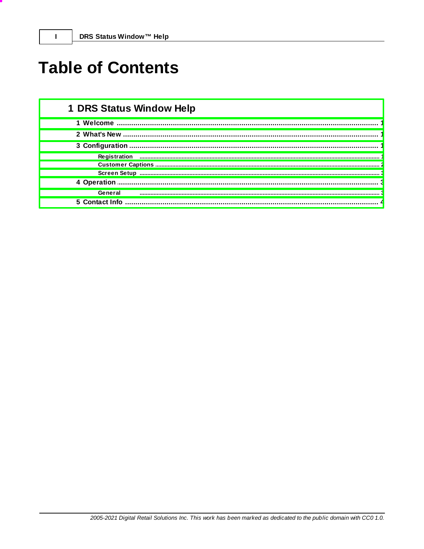# **Table of Contents**

 $\mathbf{I}$ 

| 1 DRS Status Window Help |  |  |  |
|--------------------------|--|--|--|
|                          |  |  |  |
|                          |  |  |  |
|                          |  |  |  |
| Registration             |  |  |  |
|                          |  |  |  |
|                          |  |  |  |
| 4 Operation              |  |  |  |
| General                  |  |  |  |
| 5 Contact Info           |  |  |  |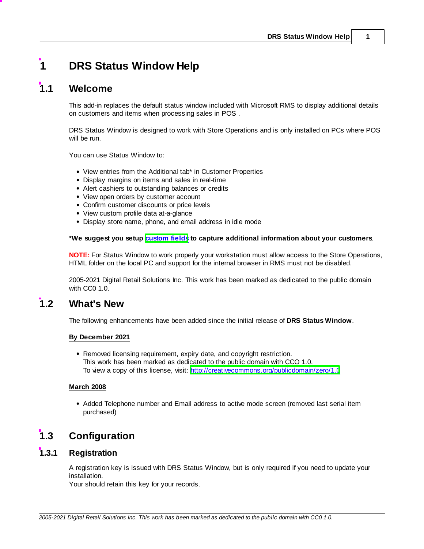# <span id="page-2-0"></span>**1 DRS Status Window Help**

## **1.1 Welcome**

This add-in replaces the default status window included with Microsoft RMS to display additional details on customers and items when processing sales in POS .

DRS Status Window is designed to work with Store Operations and is only installed on PCs where POS will be run.

You can use Status Window to:

- View entries from the Additional tab\* in Customer Properties
- Display margins on items and sales in real-time
- Alert cashiers to outstanding balances or credits
- View open orders by customer account
- Confirm customer discounts or price levels
- View custom profile data at-a-glance
- Display store name, phone, and email address in idle mode

### **\*We suggest you setup [custom](#page-3-0) fields to capture additional information about your customers**.

**NOTE:** For Status Window to work properly your workstation must allow access to the Store Operations, HTML folder on the local PC and support for the internal browser in RMS must not be disabled.

2005-2021 Digital Retail Solutions Inc. This work has been marked as dedicated to the public domain with CC0 1.0.

## <span id="page-2-1"></span>**1.2 What's New**

The following enhancements have been added since the initial release of **DRS Status Window**.

### **By December 2021**

Removed licensing requirement, expiry date, and copyright restriction. This work has been marked as dedicated to the public domain with CCO 1.0. To view a copy of this license, visit: <http://creativecommons.org/publicdomain/zero/1.0>

## **March 2008**

Added Telephone number and Email address to active mode screen (removed last serial item purchased)

# <span id="page-2-2"></span>**1.3 Configuration**

## **1.3.1 Registration**

A registration key is issued with DRS Status Window, but is only required if you need to update your installation.

Your should retain this key for your records.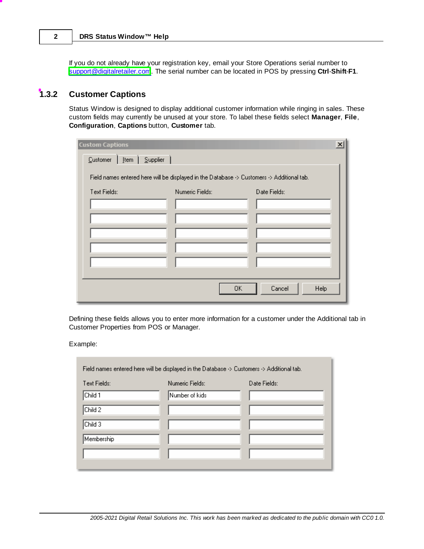If you do not already have your registration key, email your Store Operations serial number to [support@digitalretailer.com](mailto:support@digitalretailer.com). The serial number can be located in POS by pressing **Ctrl**-**Shift**-**F1**.

## <span id="page-3-0"></span>**1.3.2 Customer Captions**

Status Window is designed to display additional customer information while ringing in sales. These custom fields may currently be unused at your store. To label these fields select **Manager**, **File**, **Configuration**, **Captions** button, **Customer** tab.

| <b>Custom Captions</b>                     |                                                                                            | $\vert x \vert$      |
|--------------------------------------------|--------------------------------------------------------------------------------------------|----------------------|
| [tem $\int$ Supplier $\int$<br>$C$ ustomer |                                                                                            |                      |
|                                            | Field names entered here will be displayed in the Database -> Customers -> Additional tab. |                      |
| Text Fields:                               | Numeric Fields:                                                                            | Date Fields:         |
|                                            |                                                                                            |                      |
|                                            |                                                                                            |                      |
|                                            |                                                                                            |                      |
|                                            |                                                                                            |                      |
|                                            |                                                                                            |                      |
|                                            |                                                                                            |                      |
|                                            |                                                                                            | Cancel<br>Help<br>0K |

Defining these fields allows you to enter more information for a customer under the Additional tab in Customer Properties from POS or Manager.

Example:

| Field names entered here will be displayed in the Database -> Customers -> Additional tab. |                 |              |  |
|--------------------------------------------------------------------------------------------|-----------------|--------------|--|
| Text Fields:                                                                               | Numeric Fields: | Date Fields: |  |
| Child 1                                                                                    | Number of kids  |              |  |
| Child 2                                                                                    |                 |              |  |
| Child 3                                                                                    |                 |              |  |
| Membership                                                                                 |                 |              |  |
|                                                                                            |                 |              |  |
|                                                                                            |                 |              |  |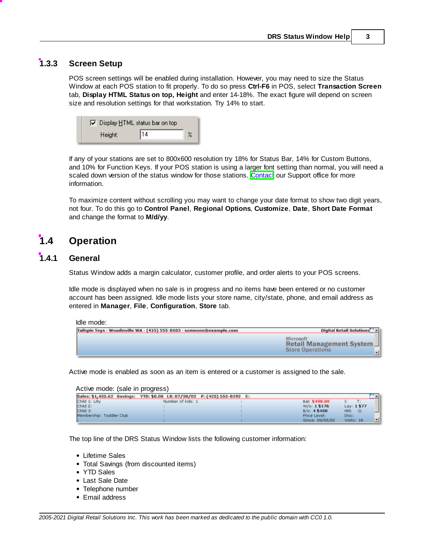## <span id="page-4-0"></span>**1.3.3 Screen Setup**

POS screen settings will be enabled during installation. However, you may need to size the Status Window at each POS station to fit properly. To do so press **Ctrl-F6** in POS, select **Transaction Screen** tab, **Display HTML Status on top, Height** and enter 14-18%. The exact figure will depend on screen size and resolution settings for that workstation. Try 14% to start.



If any of your stations are set to 800x600 resolution try 18% for Status Bar, 14% for Custom Buttons, and 10% for Function Keys. If your POS station is using a larger font setting than normal, you will need a scaled down version of the status window for those stations. [Contact](#page-5-0) our Support office for more information.

To maximize content without scrolling you may want to change your date format to show two digit years, not four. To do this go to **Control Panel**, **Regional Options**, **Customize**, **Date**, **Short Date Format** and change the format to **M/d/yy**.

# <span id="page-4-1"></span>**1.4 Operation**

## **1.4.1 General**

Status Window adds a margin calculator, customer profile, and order alerts to your POS screens.

Idle mode is displayed when no sale is in progress and no items have been entered or no customer account has been assigned. Idle mode lists your store name, city/state, phone, and email address as entered in **Manager**, **File**, **Configuration**, **Store** tab.

#### Idle mode:

| Tailspin Toys - Woodinville WA - (425) 555-0103 - someone@example.com | Digital Retail Solutions                                                     |
|-----------------------------------------------------------------------|------------------------------------------------------------------------------|
|                                                                       | <b>Microsoft</b><br>Retail Management System<br><b>Store Operations</b><br>킈 |

Active mode is enabled as soon as an item is entered or a customer is assigned to the sale.

#### Active mode: (sale in progress)

|                          | Sales: \$1,435.62 Savings: YTD: \$0.00 LS: 07/30/02 P: (425) 555-0192 E: |  |                 |            | $\mathbf{G}$ |
|--------------------------|--------------------------------------------------------------------------|--|-----------------|------------|--------------|
| Child 1: Lilly           | Number of kids: 1                                                        |  | Bal: \$498.88   | I:         |              |
| Child 2:                 |                                                                          |  | W/o: 1\$176     | Lay: 1\$77 |              |
| Child 3:                 |                                                                          |  | B/O: 4\$450     | Hld:<br>O: |              |
| Membership: Toddler Club |                                                                          |  | Price Level:    | Disc:      |              |
|                          |                                                                          |  | Since: 09/05/02 | Visits: 18 | ±ll          |

The top line of the DRS Status Window lists the following customer information:

- Lifetime Sales
- Total Savings (from discounted items)
- YTD Sales
- Last Sale Date
- Telephone number
- Email address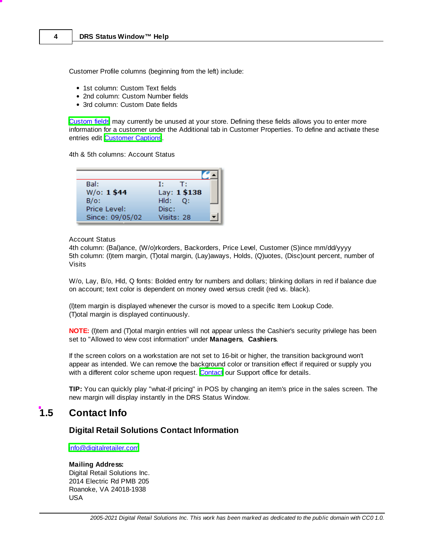Customer Profile columns (beginning from the left) include:

- 1st column: Custom Text fields
- 2nd column: Custom Number fields
- 3rd column: Custom Date fields

[Custom](#page-3-0) fields may currently be unused at your store. Defining these fields allows you to enter more information for a customer under the Additional tab in Customer Properties. To define and activate these entries edit [Customer](#page-3-0) Captions.

4th & 5th columns: Account Status

| Bal:            | Τt<br>T:     |
|-----------------|--------------|
| W/o: 1\$44      | Lay: 1 \$138 |
| $B/O$ :         | Hld:<br>O:   |
| Price Level:    | Disc:        |
| Since: 09/05/02 | Visits: 28   |

#### Account Status

4th column: (Bal)ance, (W/o)rkorders, Backorders, Price Level, Customer (S)ince mm/dd/yyyy 5th column: (I)tem margin, (T)otal margin, (Lay)aways, Holds, (Q)uotes, (Disc)ount percent, number of Visits

W/o, Lay, B/o, Hld, Q fonts: Bolded entry for numbers and dollars; blinking dollars in red if balance due on account; text color is dependent on money owed versus credit (red vs. black).

(I)tem margin is displayed whenever the cursor is moved to a specific Item Lookup Code. (T)otal margin is displayed continuously.

**NOTE:** (I)tem and (T)otal margin entries will not appear unless the Cashier's security privilege has been set to "Allowed to view cost information" under **Managers**, **Cashiers**.

If the screen colors on a workstation are not set to 16-bit or higher, the transition background won't appear as intended. We can remove the background color or transition effect if required or supply you with a different color scheme upon request. [Contact](#page-5-0) our Support office for details.

**TIP:** You can quickly play "what-if pricing" in POS by changing an item's price in the sales screen. The new margin will display instantly in the DRS Status Window.

## <span id="page-5-0"></span>**1.5 Contact Info**

## **Digital Retail Solutions Contact Information**

[info@digitalretailer.com](mailto:info@digitalretailer.com)

#### **Mailing Address:**

Digital Retail Solutions Inc. 2014 Electric Rd PMB 205 Roanoke, VA 24018-1938 USA